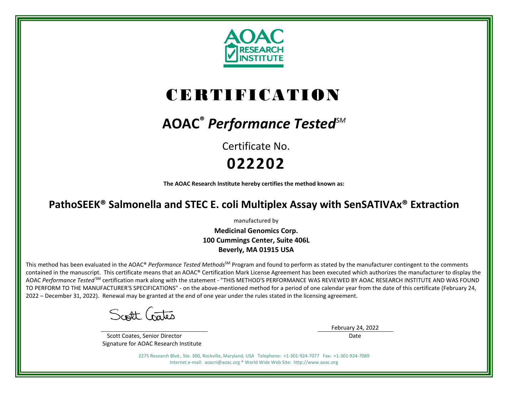

# CERTIFICATION

## **AOAC®** *Performance TestedSM*

Certificate No. **022202**

**The AOAC Research Institute hereby certifies the method known as:**

### **PathoSEEK® Salmonella and STEC E. coli Multiplex Assay with SenSATIVAx® Extraction**

manufactured by

**Medicinal Genomics Corp. 100 Cummings Center, Suite 406L Beverly, MA 01915 USA**

This method has been evaluated in the AOAC® *Performance Tested Methods*<sup>SM</sup> Program and found to perform as stated by the manufacturer contingent to the comments contained in the manuscript. This certificate means that an AOAC® Certification Mark License Agreement has been executed which authorizes the manufacturer to display the AOAC *Performance Tested* SM certification mark along with the statement - "THIS METHOD'S PERFORMANCE WAS REVIEWED BY AOAC RESEARCH INSTITUTE AND WAS FOUND TO PERFORM TO THE MANUFACTURER'S SPECIFICATIONS" - on the above-mentioned method for a period of one calendar year from the date of this certificate (February 24, 2022 – December 31, 2022). Renewal may be granted at the end of one year under the rules stated in the licensing agreement.

Scott Gates

 Scott Coates, Senior Director Signature for AOAC Research Institute February 24, 2022 Date

2275 Research Blvd., Ste. 300, Rockville, Maryland, USA Telephone: +1-301-924-7077 Fax: +1-301-924-7089 Internet e-mail: aoacri@aoac.org \* World Wide Web Site: http://www.aoac.org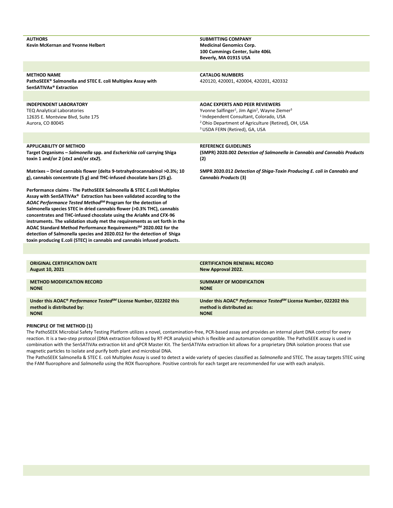| <b>AUTHORS</b><br><b>Kevin McKernan and Yvonne Helbert</b>                                                                                                                                                                                                                                                                                                                                                                                                                                                                                                                                                                                                                                                   | <b>SUBMITTING COMPANY</b><br><b>Medicinal Genomics Corp.</b><br>100 Cummings Center, Suite 406L<br>Beverly, MA 01915 USA                                                                                                                                                                         |
|--------------------------------------------------------------------------------------------------------------------------------------------------------------------------------------------------------------------------------------------------------------------------------------------------------------------------------------------------------------------------------------------------------------------------------------------------------------------------------------------------------------------------------------------------------------------------------------------------------------------------------------------------------------------------------------------------------------|--------------------------------------------------------------------------------------------------------------------------------------------------------------------------------------------------------------------------------------------------------------------------------------------------|
|                                                                                                                                                                                                                                                                                                                                                                                                                                                                                                                                                                                                                                                                                                              |                                                                                                                                                                                                                                                                                                  |
| <b>METHOD NAME</b><br>PathoSEEK® Salmonella and STEC E. coli Multiplex Assay with<br>SenSATIVAx <sup>®</sup> Extraction                                                                                                                                                                                                                                                                                                                                                                                                                                                                                                                                                                                      | <b>CATALOG NUMBERS</b><br>420120, 420001, 420004, 420201, 420332                                                                                                                                                                                                                                 |
|                                                                                                                                                                                                                                                                                                                                                                                                                                                                                                                                                                                                                                                                                                              |                                                                                                                                                                                                                                                                                                  |
| <b>INDEPENDENT LABORATORY</b><br><b>TEQ Analytical Laboratories</b><br>12635 E. Montview Blvd, Suite 175<br>Aurora, CO 80045                                                                                                                                                                                                                                                                                                                                                                                                                                                                                                                                                                                 | <b>AOAC EXPERTS AND PEER REVIEWERS</b><br>Yvonne Salfinger <sup>1</sup> , Jim Agin <sup>2</sup> , Wayne Ziemer <sup>3</sup><br><sup>1</sup> Independent Consultant, Colorado, USA<br><sup>2</sup> Ohio Department of Agriculture (Retired), OH, USA<br><sup>3</sup> USDA FERN (Retired), GA, USA |
|                                                                                                                                                                                                                                                                                                                                                                                                                                                                                                                                                                                                                                                                                                              |                                                                                                                                                                                                                                                                                                  |
| <b>APPLICABILITY OF METHOD</b><br>Target Organisms - Salmonella spp. and Escherichia coli carrying Shiga<br>toxin 1 and/or 2 (stx1 and/or stx2).                                                                                                                                                                                                                                                                                                                                                                                                                                                                                                                                                             | <b>REFERENCE GUIDELINES</b><br>(SMPR) 2020.002 Detection of Salmonella in Cannabis and Cannabis Products<br>(2)                                                                                                                                                                                  |
| Matrixes – Dried cannabis flower (delta 9-tetrahydrocannabinol >0.3%; 10<br>g), cannabis concentrate (5 g) and THC-infused chocolate bars (25 g).                                                                                                                                                                                                                                                                                                                                                                                                                                                                                                                                                            | SMPR 2020.012 Detection of Shiga-Toxin Producing E. coli in Cannabis and<br><b>Cannabis Products (3)</b>                                                                                                                                                                                         |
| Performance claims - The PathoSEEK Salmonella & STEC E.coli Multiplex<br>Assay with SenSATIVAx <sup>®</sup> Extraction has been validated according to the<br>AOAC Performance Tested Method <sup>SM</sup> Program for the detection of<br>Salmonella species STEC in dried cannabis flower (>0.3% THC), cannabis<br>concentrates and THC-infused chocolate using the AriaMx and CFX-96<br>instruments. The validation study met the requirements as set forth in the<br>AOAC Standard Method Performance Requirements <sup>5M</sup> 2020.002 for the<br>detection of Salmonella species and 2020.012 for the detection of Shiga<br>toxin producing E.coli (STEC) in cannabis and cannabis infused products. |                                                                                                                                                                                                                                                                                                  |
|                                                                                                                                                                                                                                                                                                                                                                                                                                                                                                                                                                                                                                                                                                              |                                                                                                                                                                                                                                                                                                  |
| <b>ORIGINAL CERTIFICATION DATE</b><br><b>August 10, 2021</b>                                                                                                                                                                                                                                                                                                                                                                                                                                                                                                                                                                                                                                                 | <b>CERTIFICATION RENEWAL RECORD</b><br>New Approval 2022.                                                                                                                                                                                                                                        |
| <b>METHOD MODIFICATION RECORD</b><br><b>NONE</b>                                                                                                                                                                                                                                                                                                                                                                                                                                                                                                                                                                                                                                                             | <b>SUMMARY OF MODIFICATION</b><br><b>NONE</b>                                                                                                                                                                                                                                                    |
| Under this AOAC® Performance Tested <sup>5M</sup> License Number, 022202 this<br>method is distributed by:<br><b>NONE</b>                                                                                                                                                                                                                                                                                                                                                                                                                                                                                                                                                                                    | Under this AOAC® Performance Tested <sup>5M</sup> License Number, 022202 this<br>method is distributed as:<br><b>NONE</b>                                                                                                                                                                        |

**NONE**

**PRINCIPLE OF THE METHOD (1)**

The PathoSEEK Microbial Safety Testing Platform utilizes a novel, contamination-free, PCR-based assay and provides an internal plant DNA control for every reaction. It is a two-step protocol (DNA extraction followed by RT-PCR analysis) which is flexible and automation compatible. The PathoSEEK assay is used in combination with the SenSATIVAx extraction kit and qPCR Master Kit. The SenSATIVAx extraction kit allows for a proprietary DNA isolation process that use magnetic particles to isolate and purify both plant and microbial DNA.

The PathoSEEK Salmonella & STEC E. coli Multiplex Assay is used to detect a wide variety of species classified as *Salmonella* and STEC. The assay targets STEC using the FAM fluorophore and *Salmonella* using the ROX fluorophore. Positive controls for each target are recommended for use with each analysis.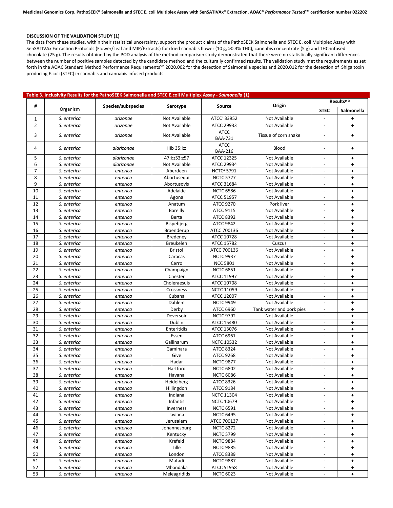#### **DISCUSSION OF THE VALIDATION STUDY (1)**

The data from these studies, within their statistical uncertainty, support the product claims of the PathoSEEK Salmonella and STEC E. coli Multiplex Assay with SenSATIVAx Extraction Protocols (Flower/Leaf and MIP/Extracts) for dried cannabis flower (10 g, >0.3% THC), cannabis concentrate (5 g) and THC-infused chocolate (25 g). The results obtained by the POD analysis of the method comparison study demonstrated that there were no statistically significant differences between the number of positive samples detected by the candidate method and the culturally confirmed results. The validation study met the requirements as set forth in the AOAC Standard Method Performance Requirements<sup>5M</sup> 2020.002 for the detection of Salmonella species and 2020.012 for the detection of Shiga toxin producing E.coli (STEC) in cannabis and cannabis infused products.

| Table 3. Inclusivity Results for the PathoSEEK Salmonella and STEC E.coli Multiplex Assay - Salmonella (1) |                            |                      |                      |                                 |                          |                          |                      |  |
|------------------------------------------------------------------------------------------------------------|----------------------------|----------------------|----------------------|---------------------------------|--------------------------|--------------------------|----------------------|--|
|                                                                                                            |                            |                      |                      |                                 | Origin                   | Results <sup>a, b</sup>  |                      |  |
| #                                                                                                          | Organism                   | Species/subspecies   | Serotype             | Source                          |                          | <b>STEC</b>              | Salmonella           |  |
| $\mathbf{1}$                                                                                               | S. enterica                | arizonae             | Not Available        | ATCC <sup>c</sup> 33952         | Not Available            |                          | ٠                    |  |
| $\overline{2}$                                                                                             | S. enterica                | arizonae             | <b>Not Available</b> | ATCC 29933<br>Not Available     |                          |                          | $\ddot{\phantom{1}}$ |  |
|                                                                                                            |                            |                      |                      | <b>ATCC</b>                     |                          |                          |                      |  |
| 3                                                                                                          | S. enterica                | arizonae             | Not Available        | <b>BAA-731</b>                  | Tissue of corn snake     | $\overline{a}$           | $\ddot{\phantom{1}}$ |  |
| 4                                                                                                          | S. enterica                | diarizonae           | $IIIb$ 35: $i$ :z    | <b>ATCC</b><br><b>BAA-216</b>   | Blood<br>$\blacksquare$  |                          | $\ddot{\phantom{1}}$ |  |
| 5                                                                                                          | S. enterica                | diarizonae           | 47:i:z53:z57         | ATCC 12325                      | Not Available            | $\overline{\phantom{a}}$ | $\ddot{\phantom{1}}$ |  |
| 6                                                                                                          | S. enterica                | diarizonae           | Not Available        | ATCC 29934                      | Not Available            |                          | $\ddot{\phantom{1}}$ |  |
| $\overline{7}$                                                                                             | S. enterica                | enterica             | Aberdeen             | NCTC <sup>d</sup> 5791          | Not Available            | $\blacksquare$           | $\ddot{\phantom{1}}$ |  |
| 8                                                                                                          | S. enterica                | enterica             | Abortusequi          | <b>NCTC 5727</b>                | Not Available            | $\overline{\phantom{a}}$ | $\ddot{\phantom{1}}$ |  |
| 9                                                                                                          | S. enterica                | enterica             | Abortusovis          | ATCC 31684                      | Not Available            | $\blacksquare$           | $\ddot{}$            |  |
| 10                                                                                                         | S. enterica                | enterica             | Adelaide             | <b>NCTC 6586</b>                | Not Available            |                          | $\ddot{\phantom{1}}$ |  |
| 11                                                                                                         | S. enterica                | enterica             | Agona                | ATCC 51957                      | Not Available            | $\blacksquare$           | $\ddot{\phantom{1}}$ |  |
| 12                                                                                                         | S. enterica                | enterica             | Anatum               | ATCC 9270                       | Pork liver               | $\overline{\phantom{a}}$ | $\ddot{\phantom{1}}$ |  |
| 13                                                                                                         | S. enterica                | enterica             | <b>Bareilly</b>      | ATCC 9115                       | Not Available            |                          | $\ddot{\phantom{1}}$ |  |
| 14                                                                                                         | S. enterica                | enterica             | Berta                | <b>ATCC 8392</b>                | Not Available            | $\blacksquare$           | $+$                  |  |
| 15                                                                                                         | S. enterica                | enterica             | Bispebjerg           | <b>ATCC 9842</b>                | Not Available            | $\overline{\phantom{a}}$ | $\ddot{\phantom{1}}$ |  |
| 16                                                                                                         | S. enterica                | enterica             | Braenderup           | ATCC 700136                     | Not Available            | $\overline{\phantom{a}}$ | $\ddot{\phantom{1}}$ |  |
| 17                                                                                                         | S. enterica                | enterica             | Bredeney             | ATCC 10728                      | Not Available            |                          | $\ddot{\phantom{1}}$ |  |
| 18                                                                                                         | S. enterica                | enterica             | <b>Breukelen</b>     | ATCC 15782                      | Cuscus                   | $\overline{\phantom{a}}$ | $\ddot{\phantom{1}}$ |  |
| 19                                                                                                         | S. enterica                | enterica             | Bristol              | ATCC 700136                     | Not Available            | $\overline{\phantom{a}}$ | $\ddot{\phantom{1}}$ |  |
| 20                                                                                                         | S. enterica                | enterica             | Caracas              | <b>NCTC 9937</b>                | Not Available            |                          | $\ddot{\phantom{1}}$ |  |
| 21                                                                                                         | S. enterica                | enterica             | Cerro                | <b>NCC 5801</b>                 | Not Available            | $\blacksquare$           | $+$                  |  |
| 22                                                                                                         | S. enterica                | enterica             | Champaign            | <b>NCTC 6851</b>                | Not Available            | $\overline{\phantom{a}}$ | $\ddot{\phantom{1}}$ |  |
| 23                                                                                                         | S. enterica                | enterica             | Chester              | ATCC 11997                      | Not Available            | $\blacksquare$           | $\ddot{\phantom{1}}$ |  |
| 24                                                                                                         | S. enterica                | enterica             | Choleraesuis         | ATCC 10708                      | Not Available            | $\blacksquare$           | $\ddot{}$            |  |
| 25                                                                                                         | S. enterica                | enterica             | Crossness            | <b>NCTC 11059</b>               | Not Available            | $\overline{\phantom{a}}$ | $\ddot{\phantom{1}}$ |  |
| 26                                                                                                         | S. enterica                | enterica             | Cubana               | ATCC 12007                      | Not Available            | $\overline{\phantom{a}}$ | $\ddot{\phantom{1}}$ |  |
| 27                                                                                                         | S. enterica                | enterica             | Dahlem               | <b>NCTC 9949</b>                | Not Available            |                          | $\ddot{\phantom{1}}$ |  |
| 28                                                                                                         | S. enterica                | enterica             | Derby                | ATCC 6960                       | Tank water and pork pies | $\mathbb{L}$             | $\pm$                |  |
| 29                                                                                                         | S. enterica                | enterica             | Deversoir            | <b>NCTC 9792</b>                | Not Available            | $\overline{\phantom{a}}$ | $\ddot{\phantom{1}}$ |  |
| 30                                                                                                         | S. enterica                | enterica             | Dublin               | ATCC 15480                      | Not Available            | $\blacksquare$           | $\ddot{\phantom{1}}$ |  |
| 31                                                                                                         | S. enterica                | enterica             | Enteritidis          | ATCC 13076                      | Not Available            |                          | $\ddot{\phantom{1}}$ |  |
| 32                                                                                                         | S. enterica                |                      | Essen                | ATCC 6961                       | Not Available            | $\overline{\phantom{a}}$ | $\ddot{\phantom{1}}$ |  |
| 33                                                                                                         | S. enterica                | enterica<br>enterica | Gallinarum           | <b>NCTC 10532</b>               | Not Available            | $\overline{\phantom{a}}$ | $\ddot{\phantom{1}}$ |  |
| 34                                                                                                         | S. enterica                | enterica             | Gaminara             | <b>ATCC 8324</b>                | Not Available            |                          | ٠                    |  |
| 35                                                                                                         | S. enterica                | enterica             | Give                 | <b>ATCC 9268</b>                | Not Available            | $\blacksquare$           | $+$                  |  |
| 36                                                                                                         | S. enterica                | enterica             | Hadar                | <b>NCTC 9877</b>                | Not Available            | $\overline{\phantom{a}}$ | ٠                    |  |
| 37                                                                                                         | S. enterica                |                      | Hartford             | <b>NCTC 6802</b>                | Not Available            | $\overline{\phantom{a}}$ | $\ddot{}$            |  |
| 38                                                                                                         |                            | enterica             | Havana               | <b>NCTC 6086</b>                | Not Available            |                          | ٠                    |  |
| 39                                                                                                         | S. enterica<br>S. enterica | enterica<br>enterica | Heidelberg           | <b>ATCC 8326</b>                | Not Available            | $\overline{\phantom{a}}$ | $+$                  |  |
| 40                                                                                                         | S. enterica                |                      | Hillingdon           | ATCC 9184                       | Not Available            | $\overline{\phantom{a}}$ | $\ddot{\phantom{1}}$ |  |
| 41                                                                                                         | S. enterica                | enterica             | Indiana              | <b>NCTC 11304</b>               | Not Available            |                          |                      |  |
| 42                                                                                                         | S. enterica                | enterica<br>enterica | Infantis             | <b>NCTC 10679</b>               | Not Available            | $\blacksquare$           | $\ddot{}$<br>$+$     |  |
| 43                                                                                                         |                            |                      | Inverness            |                                 |                          |                          |                      |  |
|                                                                                                            | S. enterica                | enterica             |                      | <b>NCTC 6591</b>                | Not Available            | $\overline{\phantom{a}}$ | $\ddot{\phantom{1}}$ |  |
| 44                                                                                                         | S. enterica                | enterica             | Javiana              | <b>NCTC 6495</b>                | Not Available            |                          | $\ddot{}$            |  |
| 45<br>46                                                                                                   | S. enterica                | enterica             | Jerusalem            | ATCC 700137<br><b>NCTC 8272</b> | Not Available            |                          | ٠                    |  |
|                                                                                                            | S. enterica                | enterica             | Johannesburg         |                                 | Not Available            | $\overline{\phantom{a}}$ | $\ddot{\phantom{1}}$ |  |
| 47                                                                                                         | S. enterica                | enterica             | Kentucky             | <b>NCTC 5799</b>                | Not Available            | $\overline{\phantom{a}}$ | $\ddot{}$            |  |
| 48                                                                                                         | S. enterica                | enterica             | Krefeld              | <b>NCTC 9884</b>                | Not Available            |                          | ٠                    |  |
| 49                                                                                                         | S. enterica                | enterica             | Lille                | <b>NCTC 9885</b>                | Not Available            | $\overline{\phantom{a}}$ | $\ddot{\phantom{1}}$ |  |
| 50                                                                                                         | S. enterica                | enterica             | London               | ATCC 8389                       | Not Available            | $\overline{\phantom{a}}$ | $\ddot{}$            |  |
| 51                                                                                                         | S. enterica                | enterica             | Matadi               | <b>NCTC 9887</b>                | Not Available            | $\overline{\phantom{a}}$ | $\ddot{}$            |  |
| 52                                                                                                         | S. enterica                | enterica             | Mbandaka             | ATCC 51958                      | Not Available            | $\blacksquare$           | $\pm$                |  |
| 53                                                                                                         | S. enterica                | enterica             | Meleagridids         | <b>NCTC 6023</b>                | Not Available            | $\overline{\phantom{a}}$ | $+$                  |  |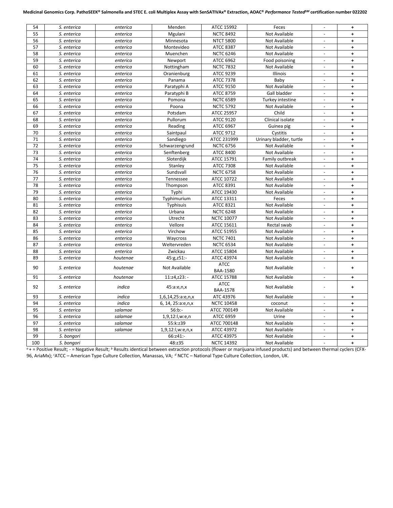| 54  | S. enterica | enterica | Menden            | ATCC 15992                     | Feces                   |                          | $\ddag$              |
|-----|-------------|----------|-------------------|--------------------------------|-------------------------|--------------------------|----------------------|
| 55  | S. enterica | enterica | Mgulani           | <b>NCTC 8492</b>               | Not Available           |                          | $\ddot{}$            |
| 56  | S. enterica | enterica | Minnesota         | <b>NTCT 5800</b>               | Not Available           | $\sim$                   | $\ddot{\phantom{1}}$ |
| 57  | S. enterica | enterica | Montevideo        | <b>ATCC 8387</b>               | Not Available           |                          | $\ddot{\phantom{1}}$ |
| 58  | S. enterica | enterica | Muenchen          | <b>NCTC 6246</b>               | <b>Not Available</b>    |                          | $\ddot{\phantom{1}}$ |
| 59  | S. enterica | enterica | Newport           | <b>ATCC 6962</b>               | Food poisoning          |                          | ÷                    |
| 60  | S. enterica | enterica | Nottingham        | <b>NCTC 7832</b>               | Not Available           |                          | $\ddot{\phantom{1}}$ |
| 61  | S. enterica | enterica | Oranienburg       | <b>ATCC 9239</b>               | Illinois                |                          | $\ddot{\phantom{1}}$ |
| 62  | S. enterica | enterica | Panama            | <b>ATCC 7378</b>               | Baby                    |                          | $\ddot{}$            |
| 63  | S. enterica | enterica | Paratyphi A       | <b>ATCC 9150</b>               | Not Available           |                          | $\ddot{\phantom{1}}$ |
| 64  | S. enterica | enterica | Paratyphi B       | <b>ATCC 8759</b>               | Gall bladder            | $\blacksquare$           | $\ddot{\phantom{1}}$ |
| 65  | S. enterica | enterica | Pomona            | <b>NCTC 6589</b>               | Turkey intestine        |                          | $\ddot{\phantom{1}}$ |
| 66  | S. enterica | enterica | Poona             | <b>NCTC 5792</b>               | Not Available           | $\overline{\phantom{a}}$ | $\ddot{}$            |
| 67  | S. enterica | enterica | Potsdam           | ATCC 25957                     | Child                   | $\overline{\phantom{a}}$ | $\ddot{\phantom{1}}$ |
| 68  | S. enterica | enterica | Pullorum          | <b>ATCC 9120</b>               | Clinical isolate        | $\overline{\phantom{a}}$ | $\ddot{\phantom{1}}$ |
| 69  | S. enterica | enterica | Reading           | <b>ATCC 6967</b>               | Guinea pig              |                          | $\ddot{}$            |
| 70  | S. enterica | enterica | Saintpaul         | <b>ATCC 9712</b>               | Cystitis                | $\blacksquare$           | $\ddot{}$            |
| 71  | S. enterica | enterica | Sandiego          | ATCC 231999                    | Urinary bladder, turtle |                          | $\ddot{}$            |
| 72  | S. enterica | enterica | Schwarzengrund    | <b>NCTC 6756</b>               | Not Available           | $\overline{\phantom{a}}$ | $\ddot{\phantom{1}}$ |
| 73  | S. enterica | enterica | Senftenberg       | <b>ATCC 8400</b>               | Not Available           |                          | $\ddot{}$            |
| 74  | S. enterica | enterica | Sloterdijk        | ATCC 15791                     | Family outbreak         | $\blacksquare$           | $\ddot{\phantom{1}}$ |
| 75  | S. enterica | enterica | Stanley           | <b>ATCC 7308</b>               | Not Available           | $\overline{a}$           | $\ddot{\phantom{1}}$ |
| 76  | S. enterica | enterica | Sundsvall         | <b>NCTC 6758</b>               | Not Available           | $\overline{a}$           | $\ddot{\phantom{1}}$ |
| 77  | S. enterica | enterica | Tennessee         | ATCC 10722                     | Not Available           | $\sim$                   | ÷                    |
| 78  | S. enterica | enterica | Thompson          | <b>ATCC 8391</b>               | Not Available           |                          | $\ddot{\phantom{1}}$ |
| 79  | S. enterica | enterica | Typhi             | ATCC 19430                     | Not Available           | $\overline{a}$           | $\ddot{\phantom{1}}$ |
| 80  | S. enterica | enterica | Typhimurium       | ATCC 13311                     | Feces                   |                          | $\ddot{}$            |
| 81  | S. enterica | enterica | Typhisuis         | <b>ATCC 8321</b>               | Not Available           | $\overline{\phantom{a}}$ | $\ddot{}$            |
| 82  | S. enterica | enterica | Urbana            | <b>NCTC 6248</b>               | Not Available           |                          | $\ddot{}$            |
| 83  | S. enterica | enterica | Utrecht           | <b>NCTC 10077</b>              | Not Available           |                          | $\ddot{}$            |
| 84  | S. enterica | enterica | Vellore           | ATCC 15611                     | Rectal swab             |                          | $\ddagger$           |
| 85  | S. enterica | enterica | Virchow           | <b>ATCC 51955</b>              | Not Available           | $\sim$                   | $\ddot{}$            |
| 86  | S. enterica | enterica | Waycross          | <b>NCTC 7401</b>               | Not Available           |                          | $\ddagger$           |
| 87  | S. enterica | enterica | Weltervreden      | <b>NCTC 6534</b>               | Not Available           | $\overline{\phantom{a}}$ | $\ddot{}$            |
| 88  | S. enterica | enterica | Zwickau           | ATCC 15804                     | Not Available           | $\overline{\phantom{a}}$ | $\ddot{\phantom{1}}$ |
| 89  | S. enterica | houtenae | 45:g,z51:-        | ATCC 43974                     | Not Available           | $\overline{\phantom{a}}$ | $\ddot{\phantom{1}}$ |
| 90  | S. enterica | houtenae | Not Available     | <b>ATCC</b><br><b>BAA-1580</b> | Not Available           |                          | $\ddot{}$            |
| 91  | S. enterica | houtenae | $11:z4,z23: -$    | ATCC 15788                     | Not Available           | $\blacksquare$           | $\pm$                |
| 92  | S. enterica | indica   | 45:a:e,n,x        | <b>ATCC</b><br><b>BAA-1578</b> | Not Available           |                          | $\pm$                |
| 93  | S. enterica | indica   | 1,6,14,25:a:e,n,x | ATC 43976                      | Not Available           | $\blacksquare$           | $+$                  |
| 94  | S. enterica | indica   | 6, 14, 25:a:e,n,x | <b>NCTC 10458</b>              | coconut                 | $\overline{\phantom{a}}$ | $\ddot{}$            |
| 95  | S. enterica | salamae  | $56:b$ :-         | ATCC 700149                    | Not Available           | $\Box$                   | $\ddot{}$            |
| 96  | S. enterica | salamae  | 1,9,12:l,w:e,n    | ATCC 6959                      | Urine                   |                          | $\ddot{\phantom{1}}$ |
| 97  | S. enterica | salamae  | 55:k:z39          | ATCC 700148                    | Not Available           | $\overline{\phantom{a}}$ | $\ddagger$           |
| 98  | S. enterica | salamae  | 1,9,12:l,w:e,n,x  | ATCC 43972                     | Not Available           | $\sim$                   | $\ddot{}$            |
| 99  | S. bongori  |          | 66:z41:-          | ATCC 43975                     | Not Available           | $\overline{a}$           | $\ddot{\phantom{1}}$ |
| 100 | S. bongori  |          | 48:z35            | <b>NCTC 14392</b>              | Not Available           | $\overline{\phantom{a}}$ | $\ddot{+}$           |

*<sup>a</sup>* + = Positive Result; - = Negative Result; *<sup>b</sup>* Results identical between extraction protocols (flower or marijuana infused products) and between thermal cyclers (CFX-96, AriaMx); <sup>c</sup>ATCC – American Type Culture Collection, Manassas, VA; <sup>d</sup> NCTC – National Type Culture Collection, London, UK.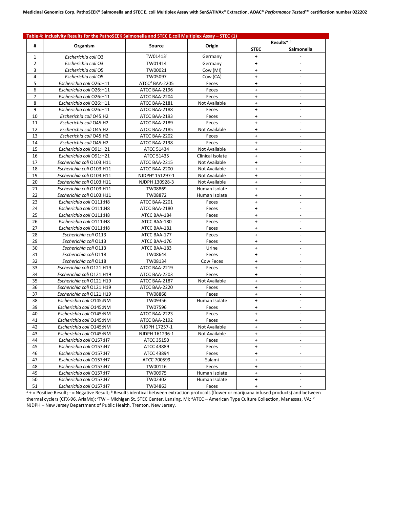| Table 4: Inclusivity Results for the PathoSEEK Salmonella and STEC E.coli Multiplex Assay - STEC (1) |                           |                             |                  |                         |                          |  |  |  |
|------------------------------------------------------------------------------------------------------|---------------------------|-----------------------------|------------------|-------------------------|--------------------------|--|--|--|
| #                                                                                                    |                           |                             |                  | Results <sup>a, b</sup> |                          |  |  |  |
|                                                                                                      | Organism                  | Source                      | Origin           | <b>STEC</b>             | Salmonella               |  |  |  |
| 1                                                                                                    | Escherichia coli O3       | TW01413 <sup>c</sup>        | Germany          | $\ddot{}$               |                          |  |  |  |
| 2                                                                                                    | Escherichia coli O3       | TW01414                     | Germany          | $\ddagger$              |                          |  |  |  |
| 3                                                                                                    | Escherichia coli O5       | TW00021                     | Cow (MI)         | $\ddot{\phantom{1}}$    |                          |  |  |  |
| 4                                                                                                    | Escherichia coli O5       | TW05097                     | Cow (CA)         | $\ddot{}$               | $\overline{\phantom{a}}$ |  |  |  |
| 5                                                                                                    | Escherichia coli O26:H11  | $ATCCd BAA-2205$            | Feces            | $\ddot{}$               | $\overline{\phantom{a}}$ |  |  |  |
| 6                                                                                                    | Escherichia coli O26:H11  | ATCC BAA-2196               | Feces            | ÷                       |                          |  |  |  |
| 7                                                                                                    | Escherichia coli O26:H11  | ATCC BAA-2204               | Feces            | $\ddot{\phantom{1}}$    |                          |  |  |  |
| 8                                                                                                    | Escherichia coli O26:H11  | ATCC BAA-2181               | Not Available    | $\ddot{\phantom{1}}$    | $\blacksquare$           |  |  |  |
| 9                                                                                                    | Escherichia coli O26:H11  | ATCC BAA-2188               | Feces            | $\ddot{\phantom{1}}$    | $\blacksquare$           |  |  |  |
| 10                                                                                                   | Escherichia coli O45:H2   | ATCC BAA-2193               | Feces            | $\ddot{\phantom{1}}$    | $\overline{\phantom{a}}$ |  |  |  |
| 11                                                                                                   | Escherichia coli O45:H2   | ATCC BAA-2189               | Feces            | $\ddot{\phantom{1}}$    | $\Box$                   |  |  |  |
| 12                                                                                                   | Escherichia coli O45:H2   | ATCC BAA-2185               | Not Available    | +                       | $\overline{\phantom{a}}$ |  |  |  |
| 13                                                                                                   | Escherichia coli O45:H2   | ATCC BAA-2202               | Feces            | $\ddot{\phantom{1}}$    | $\blacksquare$           |  |  |  |
| 14                                                                                                   | Escherichia coli O45:H2   | ATCC BAA-2198               | Feces            | $\ddot{\phantom{1}}$    |                          |  |  |  |
| 15                                                                                                   | Escherichia coli O91:H21  | ATCC 51434                  | Not Available    | $\ddot{\phantom{1}}$    | $\overline{\phantom{a}}$ |  |  |  |
| 16                                                                                                   | Escherichia coli O91:H21  | ATCC 51435                  | Clinical Isolate | ÷                       | $\overline{\phantom{a}}$ |  |  |  |
| 17                                                                                                   | Escherichia coli O103:H11 | ATCC BAA-2215               | Not Available    | ٠                       |                          |  |  |  |
| 18                                                                                                   | Escherichia coli O103:H11 | ATCC BAA-2200               | Not Available    | $+$                     | $\blacksquare$           |  |  |  |
| 19                                                                                                   | Escherichia coli O103:H11 | NJDPH <sup>e</sup> 151297-1 | Not Available    | ÷                       | $\sim$                   |  |  |  |
| 20                                                                                                   | Escherichia coli O103:H11 | NJDPH 130928-3              | Not Available    | ÷                       | $\sim$                   |  |  |  |
| 21                                                                                                   | Escherichia coli O103:H11 | TW08869                     | Human Isolate    | $+$                     |                          |  |  |  |
| 22                                                                                                   | Escherichia coli O103:H11 | TW08872                     | Human Isolate    | $\ddot{\phantom{1}}$    | $\overline{\phantom{a}}$ |  |  |  |
| 23                                                                                                   | Escherichia coli O111:H8  | ATCC BAA-2201               | Feces            | $\ddot{\phantom{1}}$    | $\overline{\phantom{a}}$ |  |  |  |
| 24                                                                                                   | Escherichia coli O111:H8  | ATCC BAA-2180               | Feces            | $\ddot{\phantom{1}}$    |                          |  |  |  |
| 25                                                                                                   | Escherichia coli O111:H8  | ATCC BAA-184                | Feces            | $\ddot{\phantom{1}}$    | $\blacksquare$           |  |  |  |
| 26                                                                                                   | Escherichia coli O111:H8  | ATCC BAA-180                | Feces            | ÷                       | $\overline{\phantom{a}}$ |  |  |  |
| 27                                                                                                   | Escherichia coli O111:H8  | ATCC BAA-181                | Feces            | ÷                       | $\sim$                   |  |  |  |
| 28                                                                                                   | Escherichia coli 0113     | ATCC BAA-177                | Feces            | $\ddot{\phantom{1}}$    | $\overline{a}$           |  |  |  |
| 29                                                                                                   | Escherichia coli O113     | ATCC BAA-176                | Feces            | $\ddot{\phantom{1}}$    | $\overline{\phantom{a}}$ |  |  |  |
| 30                                                                                                   | Escherichia coli O113     | ATCC BAA-183                | Urine            | $\ddot{}$               |                          |  |  |  |
| 31                                                                                                   | Escherichia coli O118     | TW08644                     | Feces            | ÷                       |                          |  |  |  |
| 32                                                                                                   | Escherichia coli 0118     | TW08134                     | Cow Feces        | $\ddot{\phantom{1}}$    | $\blacksquare$           |  |  |  |
| 33                                                                                                   | Escherichia coli O121:H19 | ATCC BAA-2219               | Feces            | $\ddot{\phantom{1}}$    | $\overline{\phantom{a}}$ |  |  |  |
| 34                                                                                                   | Escherichia coli O121:H19 | ATCC BAA-2203               | Feces            | $\ddot{\phantom{1}}$    | $\sim$                   |  |  |  |
| 35                                                                                                   | Escherichia coli O121:H19 | ATCC BAA-2187               | Not Available    | $\ddot{\phantom{1}}$    | $\sim$                   |  |  |  |
| 36                                                                                                   | Escherichia coli O121:H19 | ATCC BAA-2220               | Feces            | $\ddot{\phantom{1}}$    | $\overline{\phantom{a}}$ |  |  |  |
| 37                                                                                                   | Escherichia coli O121:H19 | TW08868                     | Feces            | $\ddot{}$               |                          |  |  |  |
| 38                                                                                                   | Escherichia coli O145:NM  | TW09356                     | Human Isolate    | $\ddot{\phantom{1}}$    |                          |  |  |  |
| 39                                                                                                   | Escherichia coli O145:NM  | TW07596                     | Feces            | $\ddot{\phantom{1}}$    | $\blacksquare$           |  |  |  |
| 40                                                                                                   | Escherichia coli O145:NM  | ATCC BAA-2223               | Feces            | $\ddot{\phantom{1}}$    | $\overline{\phantom{a}}$ |  |  |  |
| 41                                                                                                   | Escherichia coli O145:NM  | ATCC BAA-2192               | Feces            | ٠                       |                          |  |  |  |
| 42                                                                                                   | Escherichia coli O145:NM  | NJDPH 17257-1               | Not Available    | $\ddot{}$               |                          |  |  |  |
| 43                                                                                                   | Escherichia coli O145:NM  | NJDPH 161296-1              | Not Available    | ٠                       | $\overline{\phantom{a}}$ |  |  |  |
| 44                                                                                                   | Escherichia coli O157:H7  | ATCC 35150                  | Feces            | $\color{red}+$          | $\overline{\phantom{a}}$ |  |  |  |
| 45                                                                                                   | Escherichia coli O157:H7  | ATCC 43889                  | Feces            | ٠                       |                          |  |  |  |
| 46                                                                                                   | Escherichia coli O157:H7  | ATCC 43894                  | Feces            | $\ddot{}$               | $\overline{\phantom{a}}$ |  |  |  |
| 47                                                                                                   | Escherichia coli O157:H7  | ATCC 700599                 | Salami           | ٠                       | $\overline{\phantom{a}}$ |  |  |  |
| 48                                                                                                   | Escherichia coli O157:H7  | TW00116                     | Feces            | $\ddot{\phantom{1}}$    | $\overline{\phantom{a}}$ |  |  |  |
| 49                                                                                                   | Escherichia coli O157:H7  | TW00975                     | Human Isolate    | $\ddot{}$               |                          |  |  |  |
| 50                                                                                                   | Escherichia coli O157:H7  | TW02302                     | Human Isolate    | ۰,                      | $\overline{\phantom{a}}$ |  |  |  |
| 51                                                                                                   | Escherichia coli O157:H7  | TW04863                     |                  |                         |                          |  |  |  |
|                                                                                                      |                           |                             | Feces            | ۰,                      |                          |  |  |  |

 $a + b$  = Positive Result;  $b - b$  = Negative Result;  $b$  Results identical between extraction protocols (flower or marijuana infused products) and between thermal cyclers (CFX-96, AriaMx); <sup>c</sup>TW – Michigan St. STEC Center, Lansing, MI; <sup>d</sup>ATCC – American Type Culture Collection, Manassas, VA; <sup>e</sup> NJDPH – New Jersey Department of Public Health, Trenton, New Jersey.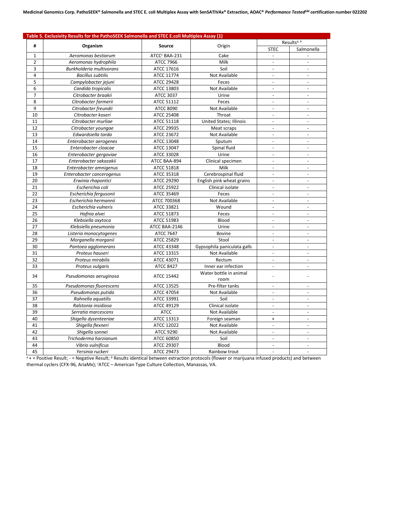|                | Table 5. Exclusivity Results for the PathoSEEK Salmonella and STEC E.coli Multiplex Assay (1) |                           |                                |                          |                          |  |  |
|----------------|-----------------------------------------------------------------------------------------------|---------------------------|--------------------------------|--------------------------|--------------------------|--|--|
| #              |                                                                                               | Source                    | Origin                         | Results <sup>a, b</sup>  |                          |  |  |
|                | Organism                                                                                      |                           |                                | <b>STEC</b>              | Salmonella               |  |  |
| 1              | Aeromonas bestiarum                                                                           | ATCC <sup>c</sup> BAA-231 | Cake                           | $\overline{a}$           |                          |  |  |
| $\overline{2}$ | Aeromonas hydrophila                                                                          | <b>ATCC 7966</b>          | Milk                           | $\overline{\phantom{a}}$ | $\overline{a}$           |  |  |
| 3              | Burkholderia multivorans                                                                      | ATCC 17616                | Soil                           | $\overline{a}$           | $\sim$                   |  |  |
| 4              | <b>Bacillus subtilis</b>                                                                      | ATCC 11774                | Not Available                  |                          | $\overline{a}$           |  |  |
| 5              | Campylobacter jejuni                                                                          | ATCC 29428                | Feces                          | $\overline{\phantom{a}}$ | $\overline{\phantom{a}}$ |  |  |
| 6              | Candida tropicalis                                                                            | ATCC 13803                | Not Available                  |                          | $\overline{\phantom{a}}$ |  |  |
| 7              | Citrobacter braakii                                                                           | <b>ATCC 3037</b>          | Urine                          | $\overline{\phantom{a}}$ | $\overline{\phantom{a}}$ |  |  |
| 8              | Citrobacter farmerii                                                                          | ATCC 51112                | Feces                          |                          |                          |  |  |
| 9              | Citrobacter freundii                                                                          | <b>ATCC 8090</b>          | Not Available                  | $\overline{a}$           | $\sim$                   |  |  |
| 10             | Citrobacter koseri                                                                            | ATCC 25408                | Throat                         |                          | $\sim$                   |  |  |
| 11             | Citrobacter murliae                                                                           | ATCC 51118                | <b>United States; Illinois</b> | $\blacksquare$           | $\sim$                   |  |  |
| 12             | Citrobacter youngae                                                                           | ATCC 29935                | Meat scraps                    | $\sim$                   | $\sim$                   |  |  |
| 13             | Edwardsiella tarda                                                                            | ATCC 23672                | Not Available                  | $\mathbf{r}$             | $\mathbf{r}$             |  |  |
| 14             | Enterobacter aerogenes                                                                        | ATCC 13048                | Sputum                         | $\sim$                   | $\overline{\phantom{a}}$ |  |  |
| 15             | Enterobacter cloacae                                                                          | ATCC 13047                | Spinal fluid                   | $\Box$                   | $\overline{\phantom{a}}$ |  |  |
| 16             | Enterobacter gergoviae                                                                        | ATCC 33028                | Urine                          | $\sim$                   | $\blacksquare$           |  |  |
| 17             | Enterobacter sakazakii                                                                        | ATCC BAA-894              | Clinical specimen              | $\overline{a}$           | $\sim$                   |  |  |
| 18             | Enterobacter amnigenus                                                                        | ATCC 51818                | Milk                           | $\overline{a}$           | $\sim$                   |  |  |
| 19             | Enterobacter cancerogenus                                                                     | ATCC 35318                | Cerebrospinal fluid            | $\overline{a}$           | $\overline{a}$           |  |  |
| 20             | Erwinia rhapontici                                                                            | ATCC 29290                | English pink wheat grains      | $\overline{a}$           | $\sim$                   |  |  |
| 21             | Escherichia coli                                                                              | ATCC 25922                | Clinical isolate               |                          | $\sim$                   |  |  |
| 22             | Escherichia fergusonii                                                                        | ATCC 35469                | Feces                          | $\overline{a}$           | $\overline{a}$           |  |  |
| 23             | Escherichia hermannii                                                                         | ATCC 700368               | Not Available                  |                          |                          |  |  |
| 24             | Escherichia vulneris                                                                          | ATCC 33821                | Wound                          | $\overline{a}$           | $\overline{\phantom{a}}$ |  |  |
| 25             | Hafnia alvei                                                                                  | ATCC 51873                | Feces                          |                          | $\overline{\phantom{a}}$ |  |  |
| 26             | Klebsiella oxytoca                                                                            | ATCC 51983                | Blood                          | $\bar{\phantom{a}}$      | $\sim$                   |  |  |
| 27             | Klebsiella pneumonia                                                                          | ATCC BAA-2146             | Urine                          |                          | $\overline{\phantom{a}}$ |  |  |
| 28             | Listeria monocytogenes                                                                        | <b>ATCC 7647</b>          | <b>Bovine</b>                  | $\blacksquare$           | $\overline{\phantom{a}}$ |  |  |
| 29             | Morganella morganii                                                                           | ATCC 25829                | Stool                          | $\sim$                   | $\sim$                   |  |  |
| 30             | Pantoea agglomerans                                                                           | ATCC 43348                | Gypsophila paniculata galls    | $\overline{\phantom{a}}$ | $\overline{\phantom{a}}$ |  |  |
| 31             | Proteus hauseri                                                                               | ATCC 13315                | Not Available                  | ÷,                       |                          |  |  |
| 32             | Proteus mirabilis                                                                             | ATCC 43071                | Rectum                         | $\overline{\phantom{a}}$ | $\overline{\phantom{a}}$ |  |  |
| 33             | Proteus vulgaris                                                                              | <b>ATCC 8427</b>          | Inner ear infection            | $\overline{a}$           | $\overline{a}$           |  |  |
| 34             | Pseudomonas aeruginosa                                                                        | ATCC 15442                | Water bottle in animal         |                          |                          |  |  |
|                |                                                                                               |                           | room                           |                          |                          |  |  |
| 35             | Pseudomonas fluorescens                                                                       | ATCC 13525                | Pre-filter tanks               | $\overline{a}$           | $\overline{a}$           |  |  |
| 36             | Pseudomonas putida                                                                            | ATCC 47054                | Not Available                  | $\overline{a}$           | $\sim$                   |  |  |
| 37             | Rahnella aquatilis                                                                            | ATCC 33991                | Soil                           | $\overline{a}$           | $\sim$                   |  |  |
| 38             | Ralstonia insidiosa                                                                           | ATCC 49129                | Clinical isolate               | $\overline{a}$           | $\sim$                   |  |  |
| 39             | Serratia marcescens                                                                           | <b>ATCC</b>               | Not Available                  | $\overline{a}$           | $\sim$                   |  |  |
| 40             | Shigella dysenteeriae                                                                         | ATCC 13313                | Foreign seaman                 | $\ddot{}$                | $\blacksquare$           |  |  |
| 41             | Shigella flexneri                                                                             | ATCC 12022                | Not Available                  |                          |                          |  |  |
| 42             | Shigella sonnei                                                                               | <b>ATCC 9290</b>          | Not Available                  | $\overline{a}$           | $\blacksquare$           |  |  |
| 43             | Trichoderma harzianum                                                                         | ATCC 60850                | Soil                           |                          |                          |  |  |
| 44             | Vibrio vulnificus                                                                             | ATCC 29307                | Blood                          | $\blacksquare$           | $\overline{\phantom{a}}$ |  |  |
| 45             | Yersinia ruckeri                                                                              | ATCC 29473                | Rainbow trout                  |                          | $\sim$                   |  |  |

*<sup>a</sup>* + = Positive Result; - = Negative Result; *<sup>b</sup>* Results identical between extraction protocols (flower or marijuana infused products) and between thermal cyclers (CFX-96, AriaMx); <sup>c</sup>ATCC – American Type Culture Collection, Manassas, VA.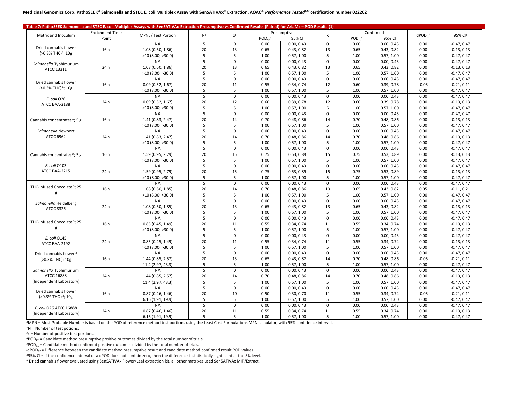| Table 7: PathoSEEK Salmonella and STEC E. coli Multiplex Assays with SenSATIVAx Extraction Presumptive vs Confirmed Results (Paired) for AriaMx - POD Results (1) |                        |                                 |                |             |                         |            |                           |                         |            |                          |               |
|-------------------------------------------------------------------------------------------------------------------------------------------------------------------|------------------------|---------------------------------|----------------|-------------|-------------------------|------------|---------------------------|-------------------------|------------|--------------------------|---------------|
|                                                                                                                                                                   | <b>Enrichment Time</b> | MPN <sub>a</sub> / Test Portion | N <sub>p</sub> | $x^c$       | Presumptive             |            |                           | Confirmed               |            | $dPOD_{cn}$ <sup>f</sup> | 95% Clg       |
| Matrix and Inoculum                                                                                                                                               | Point                  |                                 |                |             | $POD_{cn}$ <sup>d</sup> | 95% CI     | $\boldsymbol{\mathsf{x}}$ | $POD_{cc}$ <sup>e</sup> | 95% CI     |                          |               |
|                                                                                                                                                                   |                        | <b>NA</b>                       | 5              | $\mathbf 0$ | 0.00                    | 0.00, 0.43 | $\mathbf 0$               | 0.00                    | 0.00, 0.43 | 0.00                     | $-0.47, 0.47$ |
| Dried cannabis flower                                                                                                                                             | 16h                    | 1.08(0.60, 1.86)                | 20             | 13          | 0.65                    | 0.43, 0.82 | 13                        | 0.65                    | 0.43, 0.82 | 0.00                     | $-0.13, 0.13$ |
| (>0.3% THC) <sup>h</sup> ; 10g                                                                                                                                    |                        | >10(8.00, >30.0)                | 5              | 5           | 1.00                    | 0.57, 1.00 | 5                         | 1.00                    | 0.57, 1.00 | 0.00                     | $-0.47, 0.47$ |
|                                                                                                                                                                   |                        | <b>NA</b>                       | 5              | $\mathbf 0$ | 0.00                    | 0.00, 0.43 | $\mathbf 0$               | 0.00                    | 0.00, 0.43 | 0.00                     | $-0.47, 0.47$ |
| Salmonella Typhimurium<br>ATCC 13311                                                                                                                              | 24 h                   | 1.08 (0.60, 1.86)               | 20             | 13          | 0.65                    | 0.43, 0.82 | 13                        | 0.65                    | 0.43, 0.82 | 0.00                     | $-0.13, 0.13$ |
|                                                                                                                                                                   |                        | >10(8.00, >30.0)                | 5              | 5           | 1.00                    | 0.57, 1.00 | 5                         | 1.00                    | 0.57, 1.00 | 0.00                     | $-0.47, 0.47$ |
|                                                                                                                                                                   |                        | <b>NA</b>                       | 5              | $\mathbf 0$ | 0.00                    | 0.00, 0.43 | $\mathsf 0$               | 0.00                    | 0.00, 0.43 | 0.00                     | $-0.47, 0.47$ |
| Dried cannabis flower                                                                                                                                             | 16h                    | 0.09(0.52, 1.67)                | 20             | 11          | 0.55                    | 0.34, 0.74 | 12                        | 0.60                    | 0.39, 0.78 | $-0.05$                  | $-0.21, 0.11$ |
| (>0.3% THC) <sup>h</sup> ; 10g                                                                                                                                    |                        | >10(8.00, >30.0)                | 5              | 5           | 1.00                    | 0.57, 1.00 | 5                         | 1.00                    | 0.57, 1.00 | 0.00                     | $-0.47, 0.47$ |
|                                                                                                                                                                   |                        | <b>NA</b>                       | 5              | $\mathbf 0$ | 0.00                    | 0.00, 0.43 | $\mathbf{0}$              | 0.00                    | 0.00, 0.43 | 0.00                     | $-0.47, 0.47$ |
| E. coli O26                                                                                                                                                       | 24 h                   | 0.09(0.52, 1.67)                | 20             | 12          | 0.60                    | 0.39, 0.78 | 12                        | 0.60                    | 0.39, 0.78 | 0.00                     | $-0.13, 0.13$ |
| ATCC BAA-2188                                                                                                                                                     |                        | >10(8.00, >30.0)                | 5              | 5           | 1.00                    | 0.57, 1.00 | 5                         | 1.00                    | 0.57, 1.00 | 0.00                     | $-0.47, 0.47$ |
|                                                                                                                                                                   |                        | <b>NA</b>                       | 5              | $\mathbf 0$ | 0.00                    | 0.00, 0.43 | $\mathbf 0$               | 0.00                    | 0.00, 0.43 | 0.00                     | $-0.47, 0.47$ |
| Cannabis concentrates h; 5 g                                                                                                                                      | 16h                    | 1.41 (0.83, 2.47)               | 20             | 14          | 0.70                    | 0.48, 0.86 | 14                        | 0.70                    | 0.48, 0.86 | 0.00                     | $-0.13, 0.13$ |
|                                                                                                                                                                   |                        | >10(8.00, >30.0)                | 5              | 5           | 1.00                    | 0.57, 1.00 | 5                         | 1.00                    | 0.57, 1.00 | 0.00                     | $-0.47, 0.47$ |
| Salmonella Newport                                                                                                                                                |                        | <b>NA</b>                       | 5              | $\mathsf 0$ | 0.00                    | 0.00, 0.43 | $\mathsf 0$               | 0.00                    | 0.00, 0.43 | 0.00                     | $-0.47, 0.47$ |
| ATCC 6962                                                                                                                                                         | 24 h                   | 1.41 (0.83, 2.47)               | 20             | 14          | 0.70                    | 0.48, 0.86 | 14                        | 0.70                    | 0.48, 0.86 | 0.00                     | $-0.13, 0.13$ |
|                                                                                                                                                                   |                        | >10(8.00, >30.0)                | 5              | 5           | 1.00                    | 0.57, 1.00 | 5                         | 1.00                    | 0.57, 1.00 | 0.00                     | $-0.47, 0.47$ |
|                                                                                                                                                                   |                        | <b>NA</b>                       | 5              | $\mathbf 0$ | 0.00                    | 0.00, 0.43 | $\mathbf 0$               | 0.00                    | 0.00, 0.43 | 0.00                     | $-0.47, 0.47$ |
| Cannabis concentrates h; 5 g                                                                                                                                      | 16 h                   | 1.59 (0.95, 2.79)               | 20             | 15          | 0.75                    | 0.53, 0.89 | 15                        | 0.75                    | 0.53, 0.89 | 0.00                     | $-0.13, 0.13$ |
|                                                                                                                                                                   |                        | >10(8.00, >30.0)                | 5              | 5           | 1.00                    | 0.57, 1.00 | 5                         | 1.00                    | 0.57, 1.00 | 0.00                     | $-0.47, 0.47$ |
| E. coli 0103                                                                                                                                                      |                        | <b>NA</b>                       | 5              | $\mathsf 0$ | 0.00                    | 0.00, 0.43 | $\mathbf 0$               | 0.00                    | 0.00, 0.43 | 0.00                     | $-0.47, 0.47$ |
| ATCC BAA-2215                                                                                                                                                     | 24h                    | 1.59 (0.95, 2.79)               | 20             | 15          | 0.75                    | 0.53, 0.89 | 15                        | 0.75                    | 0.53, 0.89 | 0.00                     | $-0.13, 0.13$ |
|                                                                                                                                                                   |                        | $>10$ (8.00, $>30.0$ )          | 5              | 5           | 1.00                    | 0.57, 1.00 | 5                         | 1.00                    | 0.57, 1.00 | 0.00                     | $-0.47, 0.47$ |
|                                                                                                                                                                   |                        | <b>NA</b>                       | 5              | $\mathsf 0$ | 0.00                    | 0.00, 0.43 | $\mathsf 0$               | 0.00                    | 0.00, 0.43 | 0.00                     | $-0.47, 0.47$ |
| THC-Infused Chocolate h; 25                                                                                                                                       | 16h                    | 1.08 (0.60, 1.85)               | 20             | 14          | 0.70                    | 0.48, 0.86 | 13                        | 0.65                    | 0.43, 0.82 | 0.05                     | $-0.11, 0.21$ |
| g                                                                                                                                                                 |                        | >10(8.00, >30.0)                | 5              | 5           | 1.00                    | 0.57, 1.00 | 5                         | 1.00                    | 0.57, 1.00 | 0.00                     | $-0.47, 0.47$ |
|                                                                                                                                                                   |                        | <b>NA</b>                       | 5              | $\Omega$    | 0.00                    | 0.00, 0.43 | $\Omega$                  | 0.00                    | 0.00, 0.43 | 0.00                     | $-0.47, 0.47$ |
| Salmonella Heidelberg                                                                                                                                             | 24h                    | 1.08 (0.60, 1.85)               | 20             | 13          | 0.65                    | 0.43, 0.82 | 13                        | 0.65                    | 0.43, 0.82 | 0.00                     | $-0.13, 0.13$ |
| ATCC 8326                                                                                                                                                         |                        | >10(8.00, >30.0)                | 5              | 5           | 1.00                    | 0.57, 1.00 | 5                         | 1.00                    | 0.57, 1.00 | 0.00                     | $-0.47, 0.47$ |
|                                                                                                                                                                   |                        | <b>NA</b>                       | 5              | $\mathbf 0$ | 0.00                    | 0.00, 0.43 | $\mathbf 0$               | 0.00                    | 0.00, 0.43 | 0.00                     | $-0.47, 0.47$ |
| THC-Infused Chocolate <sup>h</sup> ; 25                                                                                                                           | 16 h                   | 0.85(0.45, 1.49)                | 20             | 11          | 0.55                    | 0.34, 0.74 | 11                        | 0.55                    | 0.34, 0.74 | 0.00                     | $-0.13, 0.13$ |
| g                                                                                                                                                                 |                        | >10(8.00, >30.0)                | 5              | 5           | 1.00                    | 0.57, 1.00 | 5                         | 1.00                    | 0.57, 1.00 | 0.00                     | $-0.47, 0.47$ |
|                                                                                                                                                                   |                        | <b>NA</b>                       | $\overline{5}$ | $\mathbf 0$ | 0.00                    | 0.00, 0.43 | $\mathbf 0$               | 0.00                    | 0.00, 0.43 | 0.00                     | $-0.47, 0.47$ |
| E. coli 0145                                                                                                                                                      | 24 h                   | 0.85(0.45, 1.49)                | 20             | 11          | 0.55                    | 0.34, 0.74 | 11                        | 0.55                    | 0.34, 0.74 | 0.00                     | $-0.13, 0.13$ |
| ATCC BAA-2192                                                                                                                                                     |                        | >10(8.00, >30.0)                | 5              | 5           | 1.00                    | 0.57, 1.00 | 5                         | 1.00                    | 0.57, 1.00 | 0.00                     | $-0.47, 0.47$ |
|                                                                                                                                                                   |                        | <b>NA</b>                       | 5              | $\mathbf 0$ | 0.00                    | 0.00, 0.43 | $\mathbf 0$               | 0.00                    | 0.00, 0.43 | 0.00                     | $-0.47, 0.47$ |
| Dried cannabis flower <sup>h</sup>                                                                                                                                | 16 h                   | 1.44 (0.85, 2.57)               | 20             | 13          | 0.65                    | 0.43, 0.82 | 14                        | 0.70                    | 0.48, 0.86 | $-0.05$                  | $-0.21, 0.11$ |
| (>0.3% THC); 10g                                                                                                                                                  |                        |                                 | 5              | 5           | 1.00                    | 0.57, 1.00 | 5                         | 1.00                    | 0.57, 1.00 | 0.00                     | $-0.47, 0.47$ |
|                                                                                                                                                                   |                        | 11.4 (2.97, 43.3)<br><b>NA</b>  | 5              | $\mathbf 0$ | 0.00                    | 0.00, 0.43 | $\Omega$                  | 0.00                    | 0.00, 0.43 | 0.00                     | $-0.47, 0.47$ |
| Salmonella Typhimurium<br>ATCC 16888                                                                                                                              | 24h                    |                                 |                |             |                         |            |                           |                         |            |                          |               |
| (Independent Laboratory)                                                                                                                                          |                        | 1.44 (0.85, 2.57)               | 20<br>5        | 14          | 0.70                    | 0.48, 0.86 | 14                        | 0.70                    | 0.48, 0.86 | 0.00                     | $-0.13, 0.13$ |
|                                                                                                                                                                   |                        | 11.4 (2.97, 43.3)               |                | 5           | 1.00                    | 0.57, 1.00 | 5                         | 1.00                    | 0.57, 1.00 | 0.00                     | $-0.47, 0.47$ |
| Dried cannabis flower                                                                                                                                             |                        | <b>NA</b>                       | 5              | $\mathbf 0$ | 0.00                    | 0.00, 0.43 | $\mathbf 0$               | 0.00                    | 0.00, 0.43 | 0.00                     | $-0.47, 0.47$ |
| (>0.3% THC) h; 10g                                                                                                                                                | 16h                    | 0.87(0.46, 1.46)                | 20             | 10          | 0.50                    | 0.30, 0.70 | 11                        | 0.55                    | 0.34, 0.74 | $-0.05$                  | $-0.21, 0.11$ |
|                                                                                                                                                                   |                        | 6.16 (1.91, 19.9)               | 5              | 5           | 1.00                    | 0.57, 1.00 | 5                         | 1.00                    | 0.57, 1.00 | 0.00                     | $-0.47, 0.47$ |
| E. coli O26 ATCC 16888                                                                                                                                            |                        | <b>NA</b>                       | 5              | $\mathbf 0$ | 0.00                    | 0.00, 0.43 | $\mathbf 0$               | 0.00                    | 0.00, 0.43 | 0.00                     | $-0.47, 0.47$ |
| (Independent Laboratory)                                                                                                                                          | 24 h                   | 0.87(0.46, 1.46)                | 20             | 11          | 0.55                    | 0.34, 0.74 | 11                        | 0.55                    | 0.34, 0.74 | 0.00                     | $-0.13, 0.13$ |
|                                                                                                                                                                   |                        | 6.16 (1.91, 19.9)               | 5              | 5           | 1.00                    | 0.57, 1.00 | 5                         | 1.00                    | 0.57, 1.00 | 0.00                     | $-0.47, 0.47$ |

*<sup>a</sup>*MPN = Most Probable Number is based on the POD of reference method test portions using the Least Cost Formulations MPN calculator, with 95% confidence interval.

*<sup>b</sup>*N = Number of test potions.

*c* x = Number of positive test portions.

 ${}^{d}POD_{CP}$  = Candidate method presumptive positive outcomes divided by the total number of trials.

*e*POD<sub>CC</sub> = Candidate method confirmed positive outcomes divided by the total number of trials.

*f* dPOD<sub>CP</sub> = Difference between the candidate method presumptive result and candidate method confirmed result POD values.

*<sup>g</sup>*95% CI = If the confidence interval of a dPOD does not contain zero, then the difference is statistically significant at the 5% level.

*<sup>h</sup>* Dried cannabis flower evaluated using SenSATIVAx Flower/Leaf extraction kit, all other matrixes used SenSATIVAx MIP/Extract.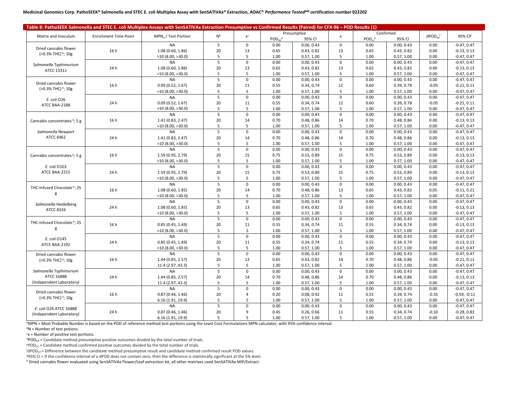|                                          | Table 8: PathoSEEK Salmonella and STEC E. coli Multiplex Assays with SenSATIVAx Extraction Presumptive vs Confirmed Results (Paired) for CFX-96 – POD Results (1) |                                 |                |                         |              |            |                    |              |            |                          |                |
|------------------------------------------|-------------------------------------------------------------------------------------------------------------------------------------------------------------------|---------------------------------|----------------|-------------------------|--------------|------------|--------------------|--------------|------------|--------------------------|----------------|
|                                          |                                                                                                                                                                   |                                 |                |                         | Presumptive  |            |                    |              | Confirmed  |                          |                |
| Matrix and Inoculum                      | <b>Enrichment Time Point</b>                                                                                                                                      | MPN <sub>a</sub> / Test Portion | N <sub>b</sub> | $\mathsf{x}^\mathsf{c}$ | $POD_{cn}^d$ | 95% Cl     | $\pmb{\mathsf{x}}$ | $POD_{cc}^e$ | 95% CI     | $dPOD_{co}$ <sup>f</sup> | 95% Clg        |
|                                          |                                                                                                                                                                   | <b>NA</b>                       | 5              | $\mathbf 0$             | 0.00         | 0.00, 0.43 | $\mathbf 0$        | 0.00         | 0.00, 0.43 | 0.00                     | $-0.47, 0.47$  |
| Dried cannabis flower                    | 16 h                                                                                                                                                              | 1.08(0.60, 1.86)                | 20             | 13                      | 0.65         | 0.43, 0.82 | 13                 | 0.65         | 0.43, 0.82 | 0.00                     | $-0.13, 0.13$  |
| (>0.3% THC) h; 10g                       |                                                                                                                                                                   | >10(8.00, >30.0)                | 5              | 5                       | 1.00         | 0.57, 1.00 | 5                  | 1.00         | 0.57, 1.00 | 0.00                     | $-0.47, 0.47$  |
|                                          |                                                                                                                                                                   | <b>NA</b>                       | 5              | $\mathbf 0$             | 0.00         | 0.00, 0.43 | $\mathbf 0$        | 0.00         | 0.00, 0.43 | 0.00                     | $-0.47, 0.47$  |
| Salmonella Typhimurium                   | 24 h                                                                                                                                                              | 1.08(0.60, 1.86)                | 20             | 13                      | 0.65         | 0.43, 0.82 | 13                 | 0.65         | 0.43, 0.82 | 0.00                     | $-0.13, 0.13$  |
| ATCC 13311                               |                                                                                                                                                                   | >10(8.00, >30.0)                | 5              | 5                       | 1.00         | 0.57, 1.00 | 5                  | 1.00         | 0.57, 1.00 | 0.00                     | $-0.47, 0.47$  |
|                                          |                                                                                                                                                                   | <b>NA</b>                       | 5              | $\mathbf 0$             | 0.00         | 0.00, 0.43 | $\Omega$           | 0.00         | 0.00, 0.43 | 0.00                     | $-0.47, 0.47$  |
| Dried cannabis flower                    | 16 h                                                                                                                                                              | 0.09(0.52, 1.67)                | 20             | 11                      | 0.55         | 0.34, 0.74 | 12                 | 0.60         | 0.39, 0.78 | $-0.05$                  | $-0.21, 0.11$  |
| (>0.3% THC) h; 10g                       |                                                                                                                                                                   | >10(8.00, >30.0)                | 5              | 5                       | 1.00         | 0.57, 1.00 | 5                  | 1.00         | 0.57, 1.00 | 0.00                     | $-0.47, 0.47$  |
|                                          |                                                                                                                                                                   | <b>NA</b>                       |                | $\mathbf 0$             | 0.00         | 0.00, 0.43 | $\Omega$           | 0.00         | 0.00, 0.43 | 0.00                     | $-0.47, 0.47$  |
| E. coli O26                              | 24 h                                                                                                                                                              | 0.09(0.52, 1.67)                | 20             | 11                      | 0.55         | 0.34, 0.74 | 12                 | 0.60         | 0.39, 0.78 | $-0.05$                  | $-0.21, 0.11$  |
| ATCC BAA-2188                            |                                                                                                                                                                   | >10(8.00, >30.0)                | 5              | 5                       | 1.00         | 0.57, 1.00 | 5                  | 1.00         | 0.57, 1.00 | 0.00                     | $-0.47, 0.47$  |
|                                          |                                                                                                                                                                   | <b>NA</b>                       | 5              | $\mathbf 0$             | 0.00         | 0.00, 0.43 | $\Omega$           | 0.00         | 0.00, 0.43 | 0.00                     | $-0.47, 0.47$  |
| Cannabis concentrates h; 5 g             | 16h                                                                                                                                                               | 1.41 (0.83, 2.47)               | 20             | 14                      | 0.70         | 0.48, 0.86 | 14                 | 0.70         | 0.48, 0.86 | 0.00                     | $-0.13, 0.13$  |
|                                          |                                                                                                                                                                   | >10(8.00, >30.0)                | 5              | 5                       | 1.00         | 0.57, 1.00 | 5                  | 1.00         | 0.57, 1.00 | 0.00                     | $-0.47, 0.47$  |
| Salmonella Newport                       |                                                                                                                                                                   | <b>NA</b>                       | 5              | $\mathbf 0$             | 0.00         | 0.00, 0.43 | $\Omega$           | 0.00         | 0.00, 0.43 | 0.00                     | $-0.47, 0.47$  |
| ATCC 6962                                | 24 h                                                                                                                                                              | 1.41(0.83, 2.47)                | 20             | 14                      | 0.70         | 0.48, 0.86 | 14                 | 0.70         | 0.48, 0.86 | 0.00                     | $-0.13, 0.13$  |
|                                          |                                                                                                                                                                   | >10(8.00, >30.0)                | 5              | 5                       | 1.00         | 0.57, 1.00 | 5                  | 1.00         | 0.57, 1.00 | 0.00                     | $-0.47, 0.47$  |
|                                          |                                                                                                                                                                   | <b>NA</b>                       | 5              | $\mathbf 0$             | 0.00         | 0.00, 0.43 | $\Omega$           | 0.00         | 0.00, 0.43 | 0.00                     | $-0.47, 0.47$  |
|                                          | 16 h                                                                                                                                                              | 1.59 (0.95, 2.79)               | 20             | 15                      | 0.75         | 0.53, 0.89 | 15                 | 0.75         | 0.53, 0.89 | 0.00                     | $-0.13, 0.13$  |
| Cannabis concentrates <sup>h</sup> ; 5 g |                                                                                                                                                                   | >10(8.00, >30.0)                | 5              | 5                       | 1.00         | 0.57, 1.00 | 5                  | 1.00         | 0.57, 1.00 | 0.00                     | $-0.47, 0.47$  |
| E. coli 0103                             |                                                                                                                                                                   | <b>NA</b>                       | 5              | 0                       | 0.00         | 0.00, 0.43 | $\mathbf 0$        | 0.00         | 0.00, 0.43 | 0.00                     | $-0.47, 0.47$  |
| ATCC BAA-2215                            | 24 h                                                                                                                                                              |                                 | 20             |                         |              |            | 15                 |              |            |                          |                |
|                                          |                                                                                                                                                                   | 1.59 (0.95, 2.79)               |                | 15                      | 0.75         | 0.53, 0.89 |                    | 0.75         | 0.53, 0.89 | 0.00                     | $-0.13, 0.13$  |
|                                          |                                                                                                                                                                   | >10(8.00, >30.0)<br><b>NA</b>   | 5<br>5         | 5                       | 1.00         | 0.57, 1.00 | 5<br>$\Omega$      | 1.00         | 0.57, 1.00 | 0.00                     | $-0.47, 0.47$  |
| THC-Infused Chocolate <sup>h</sup> ; 25  | 16h                                                                                                                                                               |                                 |                | $\mathbf 0$             | 0.00         | 0.00, 0.43 |                    | 0.00         | 0.00.0.43  | 0.00                     | $-0.47, 0.47$  |
| g                                        |                                                                                                                                                                   | 1.08(0.60, 1.85)                | 20             | 14                      | 0.70         | 0.48, 0.86 | 13                 | 0.65         | 0.43, 0.82 | 0.05                     | $-0.11, 0.21$  |
|                                          |                                                                                                                                                                   | >10(8.00, >30.0)                | 5              | 5                       | 1.00         | 0.57, 1.00 | 5                  | 1.00         | 0.57, 1.00 | 0.00                     | $-0.47, 0.47$  |
| Salmonella Heidelberg                    |                                                                                                                                                                   | <b>NA</b>                       | 5              | $\mathsf 0$             | 0.00         | 0.00, 0.43 | $\mathbf 0$        | 0.00         | 0.00, 0.43 | 0.00                     | $-0.47, 0.47$  |
| ATCC 8326                                | 24 h                                                                                                                                                              | 1.08(0.60, 1.85)                | 20             | 13                      | 0.65         | 0.43, 0.82 | 13                 | 0.65         | 0.43, 0.82 | 0.00                     | $-0.13, 0.13$  |
|                                          |                                                                                                                                                                   | >10(8.00, >30.0)                | 5              | 5                       | 1.00         | 0.57, 1.00 | 5                  | 1.00         | 0.57, 1.00 | 0.00                     | $-0.47, 0.47$  |
| THC-Infused Chocolate <sup>h</sup> ; 25  |                                                                                                                                                                   | <b>NA</b>                       | 5              | $\mathbf 0$             | 0.00         | 0.00, 0.43 | $\Omega$           | 0.00         | 0.00, 0.43 | 0.00                     | $-0.47, 0.47$  |
| g                                        | 16 h                                                                                                                                                              | 0.85(0.45, 1.49)                | 20             | 11                      | 0.55         | 0.34, 0.74 | 11                 | 0.55         | 0.34, 0.74 | 0.00                     | $-0.13, 0.13$  |
|                                          |                                                                                                                                                                   | >10(8.00, >30.0)                | 5              | 5                       | 1.00         | 0.57, 1.00 | 5                  | 1.00         | 0.57, 1.00 | 0.00                     | $-0.47, 0.47$  |
| E. coli 0145                             |                                                                                                                                                                   | <b>NA</b>                       | 5              | $\mathbf 0$             | 0.00         | 0.00, 0.43 | $\mathbf 0$        | 0.00         | 0.00, 0.43 | 0.00                     | $-0.47, 0.47$  |
| ATCC BAA-2192                            | 24 h                                                                                                                                                              | 0.85(0.45, 1.49)                | 20             | 11                      | 0.55         | 0.34, 0.74 | 11                 | 0.55         | 0.34, 0.74 | 0.00                     | $-0.13, 0.13$  |
|                                          |                                                                                                                                                                   | >10(8.00, >30.0)                | 5              | 5                       | 1.00         | 0.57, 1.00 | 5                  | 1.00         | 0.57, 1.00 | 0.00                     | $-0.47, 0.47$  |
| Dried cannabis flower                    |                                                                                                                                                                   | <b>NA</b>                       | 5              | $\mathsf 0$             | 0.00         | 0.00, 0.43 | $\Omega$           | 0.00         | 0.00, 0.43 | 0.00                     | $-0.47, 0.47$  |
| (>0.3% THC) h; 10g                       | 16 h                                                                                                                                                              | 1.44 (0.85, 2.57)               | 20             | 13                      | 0.65         | 0.43, 0.82 | 14                 | 0.70         | 0.48, 0.86 | $-0.05$                  | $-0.21, 0.11$  |
|                                          |                                                                                                                                                                   | 11.4 (2.97, 43.3)               | 5              | 5                       | 1.00         | 0.57, 1.00 | 5                  | 1.00         | 0.57, 1.00 | 0.00                     | $-0.47, 0.47$  |
| Salmonella Typhimurium                   |                                                                                                                                                                   | <b>NA</b>                       | 5              | $\mathbf 0$             | 0.00         | 0.00, 0.43 | $\mathbf 0$        | 0.00         | 0.00, 0.43 | 0.00                     | $-0.47, 0.47$  |
| ATCC 16888                               | 24 h                                                                                                                                                              | 1.44 (0.85, 2.57)               | 20             | 14                      | 0.70         | 0.48, 0.86 | 14                 | 0.70         | 0.48, 0.86 | 0.00                     | $-0.13, 0.13$  |
| (Independent Laboratory)                 |                                                                                                                                                                   | 11.4 (2.97, 43.3)               | 5              | 5                       | 1.00         | 0.57, 1.00 | 5                  | 1.00         | 0.57, 1.00 | 0.00                     | $-0.47, 0.47$  |
| Dried cannabis flower                    |                                                                                                                                                                   | <b>NA</b>                       | 5              | $\Omega$                | 0.00         | 0.00, 0.43 | $\Omega$           | 0.00         | 0.00, 0.43 | 0.00                     | $-0.47, 0.47$  |
|                                          | 16 h                                                                                                                                                              | 0.87(0.46, 1.46)                | 20             | 4                       | 0.20         | 0.08, 0.42 | 11                 | 0.55         | 0.34, 0.74 | $-0.35$                  | $-0.59, -0.11$ |
| (>0.3% THC) <sup>h</sup> ; 10g           |                                                                                                                                                                   | 6.16 (1.91, 19.9)               | 5              | 5                       | 1.00         | 0.57, 1.00 | 5                  | 1.00         | 0.57, 1.00 | 0.00                     | $-0.47, 0.47$  |
| E. coli O26 ATCC 16888                   |                                                                                                                                                                   | <b>NA</b>                       | 5              | $\mathbf 0$             | 0.00         | 0.00, 0.43 | $\mathbf 0$        | 0.00         | 0.00, 0.43 | 0.00                     | $-0.47, 0.47$  |
| (Independent Laboratory)                 | 24 h                                                                                                                                                              | 0.87(0.46, 1.46)                | 20             | 9                       | 0.45         | 0.26, 0.66 | 11                 | 0.55         | 0.34, 0.74 | $-0.10$                  | $-0.28, 0.83$  |
|                                          |                                                                                                                                                                   | 6.16 (1.91, 19.9)               | 5              | 5                       | 1.00         | 0.57, 1.00 | 5                  | 1.00         | 0.57, 1.00 | 0.00                     | $-0.47, 0.47$  |

*<sup>a</sup>*MPN = Most Probable Number is based on the POD of reference method test portions using the Least Cost Formulations MPN calculator, with 95% confidence interval.

*<sup>b</sup>*N = Number of test potions.

*c* x = Number of positive test portions.

<sup>d</sup>POD<sub>CP</sub> = Candidate method presumptive positive outcomes divided by the total number of trials.

*e*POD<sub>CC</sub> = Candidate method confirmed positive outcomes divided by the total number of trials.

*f* dPOD<sub>CP</sub> = Difference between the candidate method presumptive result and candidate method confirmed result POD values.

*<sup>g</sup>*95% CI = If the confidence interval of a dPOD does not contain zero, then the difference is statistically significant at the 5% level.

*<sup>h</sup>* Dried cannabis flower evaluated using SenSATIVAx Flower/Leaf extraction kit, all other matrixes used SenSATIVAx MIP/Extract.